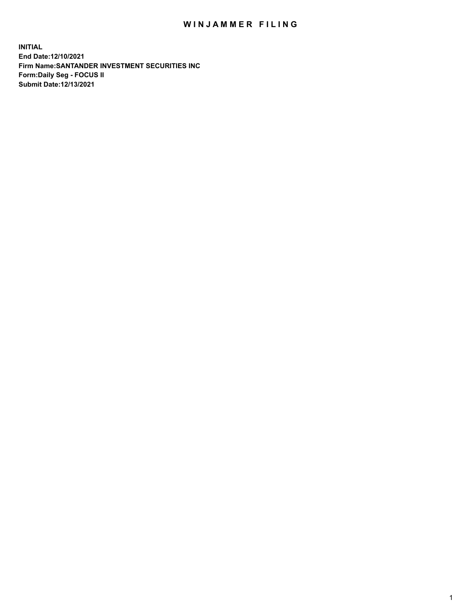## WIN JAMMER FILING

**INITIAL End Date:12/10/2021 Firm Name:SANTANDER INVESTMENT SECURITIES INC Form:Daily Seg - FOCUS II Submit Date:12/13/2021**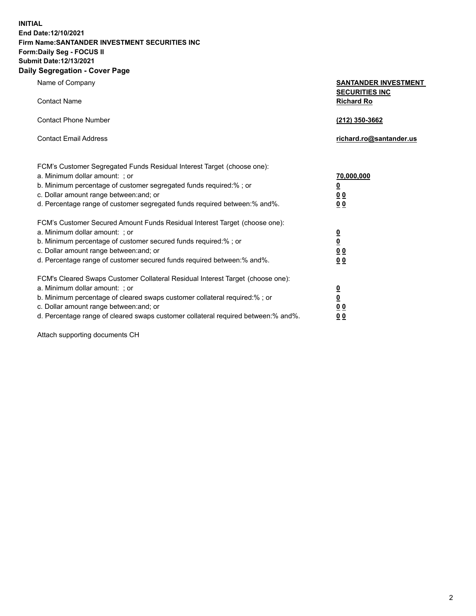**INITIAL End Date:12/10/2021 Firm Name:SANTANDER INVESTMENT SECURITIES INC Form:Daily Seg - FOCUS II Submit Date:12/13/2021 Daily Segregation - Cover Page**

Name of Company **SANTANDER INVESTMENT SECURITIES INC** Contact Name **Richard Ro** Contact Phone Number **(212) 350-3662** Contact Email Address **richard.ro@santander.us** FCM's Customer Segregated Funds Residual Interest Target (choose one): a. Minimum dollar amount: ; or **70,000,000** b. Minimum percentage of customer segregated funds required:% ; or **0** c. Dollar amount range between:and; or **0 0** d. Percentage range of customer segregated funds required between:% and%. **0 0** FCM's Customer Secured Amount Funds Residual Interest Target (choose one): a. Minimum dollar amount: ; or **0** b. Minimum percentage of customer secured funds required:% ; or **0** c. Dollar amount range between:and; or **0 0** d. Percentage range of customer secured funds required between:% and%. **0 0** FCM's Cleared Swaps Customer Collateral Residual Interest Target (choose one): a. Minimum dollar amount: ; or **0** b. Minimum percentage of cleared swaps customer collateral required:% ; or **0** c. Dollar amount range between:and; or **0 0** d. Percentage range of cleared swaps customer collateral required between:% and%. **0 0**

Attach supporting documents CH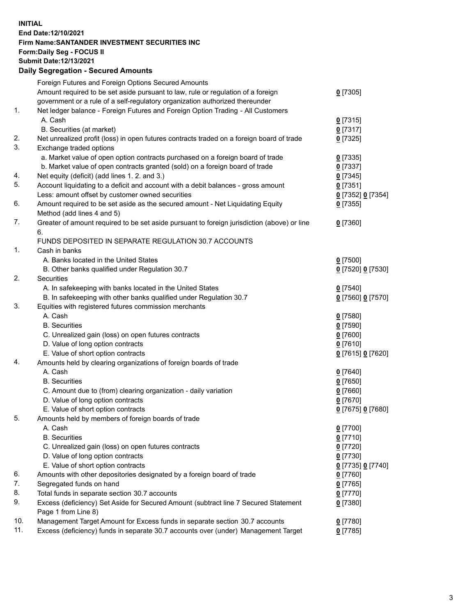## **INITIAL End Date:12/10/2021 Firm Name:SANTANDER INVESTMENT SECURITIES INC Form:Daily Seg - FOCUS II Submit Date:12/13/2021 Daily Segregation - Secured Amounts**

|     | Foreign Futures and Foreign Options Secured Amounts                                         |                   |
|-----|---------------------------------------------------------------------------------------------|-------------------|
|     | Amount required to be set aside pursuant to law, rule or regulation of a foreign            | $0$ [7305]        |
|     | government or a rule of a self-regulatory organization authorized thereunder                |                   |
| 1.  | Net ledger balance - Foreign Futures and Foreign Option Trading - All Customers             |                   |
|     | A. Cash                                                                                     | $0$ [7315]        |
|     | B. Securities (at market)                                                                   | $0$ [7317]        |
| 2.  | Net unrealized profit (loss) in open futures contracts traded on a foreign board of trade   | $0$ [7325]        |
| 3.  | Exchange traded options                                                                     |                   |
|     | a. Market value of open option contracts purchased on a foreign board of trade              | $0$ [7335]        |
|     | b. Market value of open contracts granted (sold) on a foreign board of trade                | $0$ [7337]        |
| 4.  | Net equity (deficit) (add lines 1. 2. and 3.)                                               | $0$ [7345]        |
| 5.  | Account liquidating to a deficit and account with a debit balances - gross amount           | $0$ [7351]        |
|     | Less: amount offset by customer owned securities                                            | 0 [7352] 0 [7354] |
| 6.  | Amount required to be set aside as the secured amount - Net Liquidating Equity              | $0$ [7355]        |
|     | Method (add lines 4 and 5)                                                                  |                   |
| 7.  | Greater of amount required to be set aside pursuant to foreign jurisdiction (above) or line | $0$ [7360]        |
|     | 6.                                                                                          |                   |
|     | FUNDS DEPOSITED IN SEPARATE REGULATION 30.7 ACCOUNTS                                        |                   |
| 1.  | Cash in banks                                                                               |                   |
|     | A. Banks located in the United States                                                       | $0$ [7500]        |
|     | B. Other banks qualified under Regulation 30.7                                              | 0 [7520] 0 [7530] |
| 2.  | <b>Securities</b>                                                                           |                   |
|     | A. In safekeeping with banks located in the United States                                   | $0$ [7540]        |
|     | B. In safekeeping with other banks qualified under Regulation 30.7                          | 0 [7560] 0 [7570] |
| 3.  | Equities with registered futures commission merchants                                       |                   |
|     | A. Cash                                                                                     | $0$ [7580]        |
|     | <b>B.</b> Securities                                                                        | <u>0</u> [7590]   |
|     | C. Unrealized gain (loss) on open futures contracts                                         | 0 [7600]          |
|     | D. Value of long option contracts                                                           | $0$ [7610]        |
|     | E. Value of short option contracts                                                          | 0 [7615] 0 [7620] |
| 4.  | Amounts held by clearing organizations of foreign boards of trade                           |                   |
|     | A. Cash                                                                                     | $0$ [7640]        |
|     | <b>B.</b> Securities                                                                        | <u>0</u> [7650]   |
|     | C. Amount due to (from) clearing organization - daily variation                             | $0$ [7660]        |
|     | D. Value of long option contracts                                                           | $0$ [7670]        |
|     | E. Value of short option contracts                                                          | 0 [7675] 0 [7680] |
| 5.  | Amounts held by members of foreign boards of trade                                          |                   |
|     | A. Cash                                                                                     | $0$ [7700]        |
|     | <b>B.</b> Securities                                                                        | $0$ [7710]        |
|     | C. Unrealized gain (loss) on open futures contracts                                         | $0$ [7720]        |
|     | D. Value of long option contracts                                                           | $0$ [7730]        |
|     | E. Value of short option contracts                                                          | 0 [7735] 0 [7740] |
| 6.  | Amounts with other depositories designated by a foreign board of trade                      | $0$ [7760]        |
| 7.  | Segregated funds on hand                                                                    | $0$ [7765]        |
| 8.  | Total funds in separate section 30.7 accounts                                               | $0$ [7770]        |
| 9.  | Excess (deficiency) Set Aside for Secured Amount (subtract line 7 Secured Statement         | $0$ [7380]        |
|     | Page 1 from Line 8)                                                                         |                   |
| 10. | Management Target Amount for Excess funds in separate section 30.7 accounts                 | 0 [7780]          |
| 11. | Excess (deficiency) funds in separate 30.7 accounts over (under) Management Target          | $0$ [7785]        |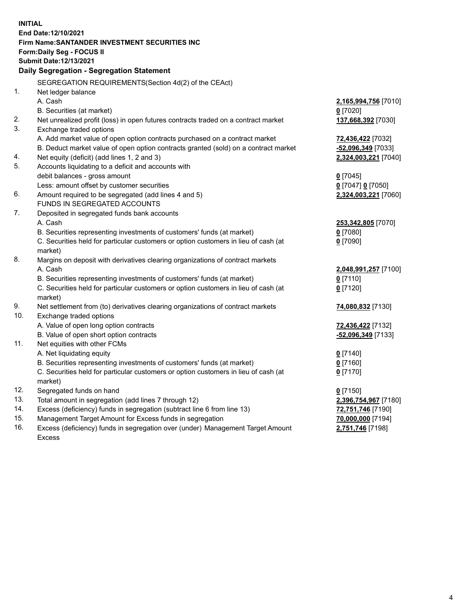| <b>INITIAL</b> |                                                                                     |                      |  |  |  |
|----------------|-------------------------------------------------------------------------------------|----------------------|--|--|--|
|                | End Date:12/10/2021                                                                 |                      |  |  |  |
|                | Firm Name: SANTANDER INVESTMENT SECURITIES INC                                      |                      |  |  |  |
|                | Form: Daily Seg - FOCUS II                                                          |                      |  |  |  |
|                | Submit Date:12/13/2021                                                              |                      |  |  |  |
|                | Daily Segregation - Segregation Statement                                           |                      |  |  |  |
|                |                                                                                     |                      |  |  |  |
|                | SEGREGATION REQUIREMENTS(Section 4d(2) of the CEAct)                                |                      |  |  |  |
| 1.             | Net ledger balance                                                                  |                      |  |  |  |
|                | A. Cash                                                                             | 2,165,994,756 [7010] |  |  |  |
|                | B. Securities (at market)                                                           | $0$ [7020]           |  |  |  |
| 2.             | Net unrealized profit (loss) in open futures contracts traded on a contract market  | 137,668,392 [7030]   |  |  |  |
| 3.             | Exchange traded options                                                             |                      |  |  |  |
|                | A. Add market value of open option contracts purchased on a contract market         | 72,436,422 [7032]    |  |  |  |
|                | B. Deduct market value of open option contracts granted (sold) on a contract market | -52,096,349 [7033]   |  |  |  |
| 4.             | Net equity (deficit) (add lines 1, 2 and 3)                                         | 2,324,003,221 [7040] |  |  |  |
| 5.             | Accounts liquidating to a deficit and accounts with                                 |                      |  |  |  |
|                | debit balances - gross amount                                                       | $0$ [7045]           |  |  |  |
|                | Less: amount offset by customer securities                                          | 0 [7047] 0 [7050]    |  |  |  |
| 6.             | Amount required to be segregated (add lines 4 and 5)                                | 2,324,003,221 [7060] |  |  |  |
|                | FUNDS IN SEGREGATED ACCOUNTS                                                        |                      |  |  |  |
| 7.             | Deposited in segregated funds bank accounts                                         |                      |  |  |  |
|                | A. Cash                                                                             | 253,342,805 [7070]   |  |  |  |
|                | B. Securities representing investments of customers' funds (at market)              | $0$ [7080]           |  |  |  |
|                | C. Securities held for particular customers or option customers in lieu of cash (at | $0$ [7090]           |  |  |  |
|                | market)                                                                             |                      |  |  |  |
| 8.             | Margins on deposit with derivatives clearing organizations of contract markets      |                      |  |  |  |
|                | A. Cash                                                                             | 2,048,991,257 [7100] |  |  |  |
|                | B. Securities representing investments of customers' funds (at market)              | $0$ [7110]           |  |  |  |
|                | C. Securities held for particular customers or option customers in lieu of cash (at | $0$ [7120]           |  |  |  |
|                | market)                                                                             |                      |  |  |  |
| 9.             | Net settlement from (to) derivatives clearing organizations of contract markets     | 74,080,832 [7130]    |  |  |  |
| 10.            | Exchange traded options                                                             |                      |  |  |  |
|                | A. Value of open long option contracts                                              | 72,436,422 [7132]    |  |  |  |
|                | B. Value of open short option contracts                                             | -52,096,349 [7133]   |  |  |  |
| 11.            | Net equities with other FCMs                                                        |                      |  |  |  |
|                | A. Net liquidating equity                                                           | $0$ [7140]           |  |  |  |
|                | B. Securities representing investments of customers' funds (at market)              | $0$ [7160]           |  |  |  |
|                | C. Securities held for particular customers or option customers in lieu of cash (at | $0$ [7170]           |  |  |  |
|                | market)                                                                             |                      |  |  |  |
| 12.            | Segregated funds on hand                                                            | $0$ [7150]           |  |  |  |
| 13.            | Total amount in segregation (add lines 7 through 12)                                | 2,396,754,967 [7180] |  |  |  |
| 14.            | Excess (deficiency) funds in segregation (subtract line 6 from line 13)             | 72,751,746 [7190]    |  |  |  |
| 15.            | Management Target Amount for Excess funds in segregation                            | 70,000,000 [7194]    |  |  |  |
| 16.            | Excess (deficiency) funds in segregation over (under) Management Target Amount      | 2,751,746 [7198]     |  |  |  |
|                | <b>Excess</b>                                                                       |                      |  |  |  |